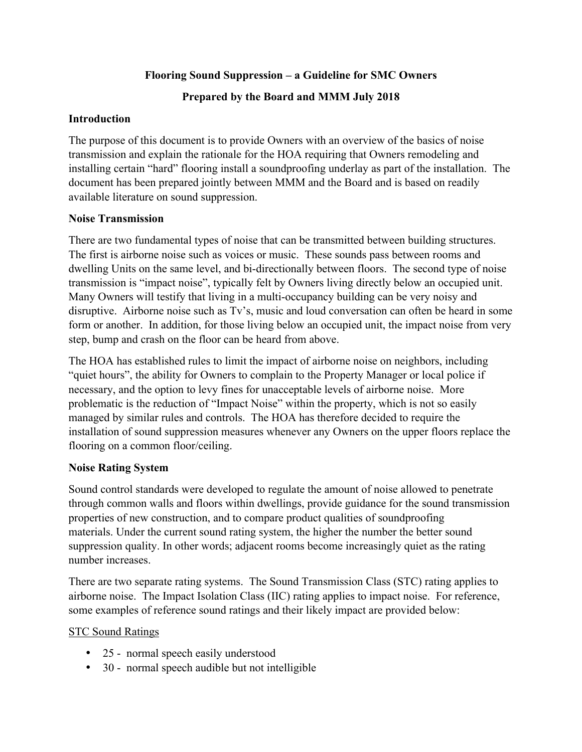### **Flooring Sound Suppression – a Guideline for SMC Owners**

## **Prepared by the Board and MMM July 2018**

### **Introduction**

The purpose of this document is to provide Owners with an overview of the basics of noise transmission and explain the rationale for the HOA requiring that Owners remodeling and installing certain "hard" flooring install a soundproofing underlay as part of the installation. The document has been prepared jointly between MMM and the Board and is based on readily available literature on sound suppression.

### **Noise Transmission**

There are two fundamental types of noise that can be transmitted between building structures. The first is airborne noise such as voices or music. These sounds pass between rooms and dwelling Units on the same level, and bi-directionally between floors. The second type of noise transmission is "impact noise", typically felt by Owners living directly below an occupied unit. Many Owners will testify that living in a multi-occupancy building can be very noisy and disruptive. Airborne noise such as Tv's, music and loud conversation can often be heard in some form or another. In addition, for those living below an occupied unit, the impact noise from very step, bump and crash on the floor can be heard from above.

The HOA has established rules to limit the impact of airborne noise on neighbors, including "quiet hours", the ability for Owners to complain to the Property Manager or local police if necessary, and the option to levy fines for unacceptable levels of airborne noise. More problematic is the reduction of "Impact Noise" within the property, which is not so easily managed by similar rules and controls. The HOA has therefore decided to require the installation of sound suppression measures whenever any Owners on the upper floors replace the flooring on a common floor/ceiling.

## **Noise Rating System**

Sound control standards were developed to regulate the amount of noise allowed to penetrate through common walls and floors within dwellings, provide guidance for the sound transmission properties of new construction, and to compare product qualities of soundproofing materials. Under the current sound rating system, the higher the number the better sound suppression quality. In other words; adjacent rooms become increasingly quiet as the rating number increases.

There are two separate rating systems. The Sound Transmission Class (STC) rating applies to airborne noise. The Impact Isolation Class (IIC) rating applies to impact noise. For reference, some examples of reference sound ratings and their likely impact are provided below:

## STC Sound Ratings

- 25 normal speech easily understood
- 30 normal speech audible but not intelligible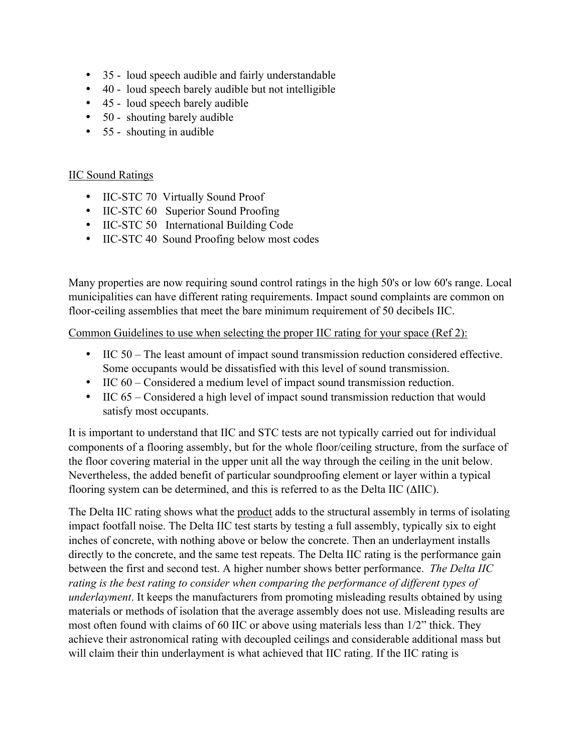- 35 loud speech audible and fairly understandable
- 40 loud speech barely audible but not intelligible
- 45 loud speech barely audible
- 50 shouting barely audible
- 55 shouting in audible

#### IIC Sound Ratings

- IIC-STC 70 Virtually Sound Proof
- IIC-STC 60 Superior Sound Proofing
- IIC-STC 50 International Building Code
- IIC-STC 40 Sound Proofing below most codes

Many properties are now requiring sound control ratings in the high 50's or low 60's range. Local municipalities can have different rating requirements. Impact sound complaints are common on floor-ceiling assemblies that meet the bare minimum requirement of 50 decibels IIC.

Common Guidelines to use when selecting the proper IIC rating for your space (Ref 2):

- IIC 50 The least amount of impact sound transmission reduction considered effective. Some occupants would be dissatisfied with this level of sound transmission.
- IIC 60 Considered a medium level of impact sound transmission reduction.
- IIC 65 Considered a high level of impact sound transmission reduction that would satisfy most occupants.

It is important to understand that IIC and STC tests are not typically carried out for individual components of a flooring assembly, but for the whole floor/ceiling structure, from the surface of the floor covering material in the upper unit all the way through the ceiling in the unit below. Nevertheless, the added benefit of particular soundproofing element or layer within a typical flooring system can be determined, and this is referred to as the Delta IIC (ΔIIC).

The Delta IIC rating shows what the product adds to the structural assembly in terms of isolating impact footfall noise. The Delta IIC test starts by testing a full assembly, typically six to eight inches of concrete, with nothing above or below the concrete. Then an underlayment installs directly to the concrete, and the same test repeats. The Delta IIC rating is the performance gain between the first and second test. A higher number shows better performance. *The Delta IIC rating is the best rating to consider when comparing the performance of different types of underlayment*. It keeps the manufacturers from promoting misleading results obtained by using materials or methods of isolation that the average assembly does not use. Misleading results are most often found with claims of 60 IIC or above using materials less than 1/2" thick. They achieve their astronomical rating with decoupled ceilings and considerable additional mass but will claim their thin underlayment is what achieved that IIC rating. If the IIC rating is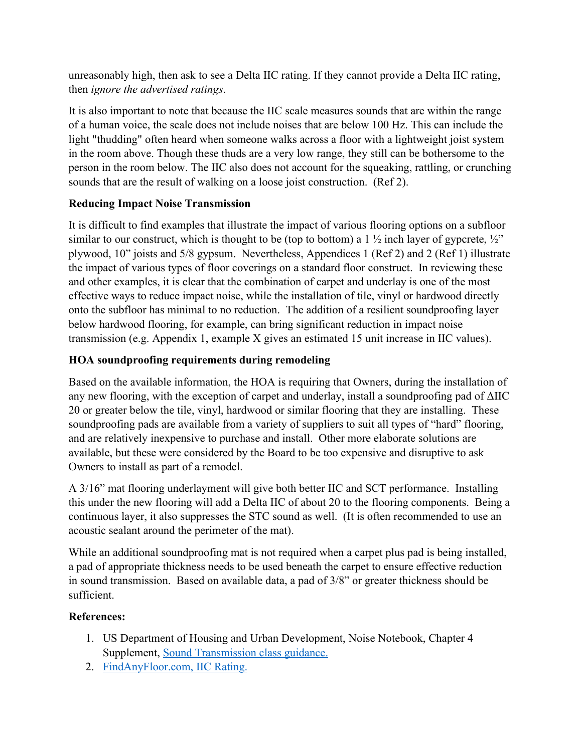unreasonably high, then ask to see a Delta IIC rating. If they cannot provide a Delta IIC rating, then *ignore the advertised ratings*.

It is also important to note that because the IIC scale measures sounds that are within the range of a human voice, the scale does not include noises that are below 100 Hz. This can include the light "thudding" often heard when someone walks across a floor with a lightweight joist system in the room above. Though these thuds are a very low range, they still can be bothersome to the person in the room below. The IIC also does not account for the squeaking, rattling, or crunching sounds that are the result of walking on a loose joist construction. (Ref 2).

# **Reducing Impact Noise Transmission**

It is difficult to find examples that illustrate the impact of various flooring options on a subfloor similar to our construct, which is thought to be (top to bottom) a  $1 \frac{1}{2}$  inch layer of gypcrete,  $\frac{1}{2}$ " plywood, 10" joists and 5/8 gypsum. Nevertheless, Appendices 1 (Ref 2) and 2 (Ref 1) illustrate the impact of various types of floor coverings on a standard floor construct. In reviewing these and other examples, it is clear that the combination of carpet and underlay is one of the most effective ways to reduce impact noise, while the installation of tile, vinyl or hardwood directly onto the subfloor has minimal to no reduction. The addition of a resilient soundproofing layer below hardwood flooring, for example, can bring significant reduction in impact noise transmission (e.g. Appendix 1, example X gives an estimated 15 unit increase in IIC values).

# **HOA soundproofing requirements during remodeling**

Based on the available information, the HOA is requiring that Owners, during the installation of any new flooring, with the exception of carpet and underlay, install a soundproofing pad of ΔIIC 20 or greater below the tile, vinyl, hardwood or similar flooring that they are installing. These soundproofing pads are available from a variety of suppliers to suit all types of "hard" flooring, and are relatively inexpensive to purchase and install. Other more elaborate solutions are available, but these were considered by the Board to be too expensive and disruptive to ask Owners to install as part of a remodel.

A 3/16" mat flooring underlayment will give both better IIC and SCT performance. Installing this under the new flooring will add a Delta IIC of about 20 to the flooring components. Being a continuous layer, it also suppresses the STC sound as well. (It is often recommended to use an acoustic sealant around the perimeter of the mat).

While an additional soundproofing mat is not required when a carpet plus pad is being installed, a pad of appropriate thickness needs to be used beneath the carpet to ensure effective reduction in sound transmission. Based on available data, a pad of 3/8" or greater thickness should be sufficient.

## **References:**

- 1. US Department of Housing and Urban Development, Noise Notebook, Chapter 4 Supplement, Sound Transmission class guidance.
- 2. FindAnyFloor.com, IIC Rating.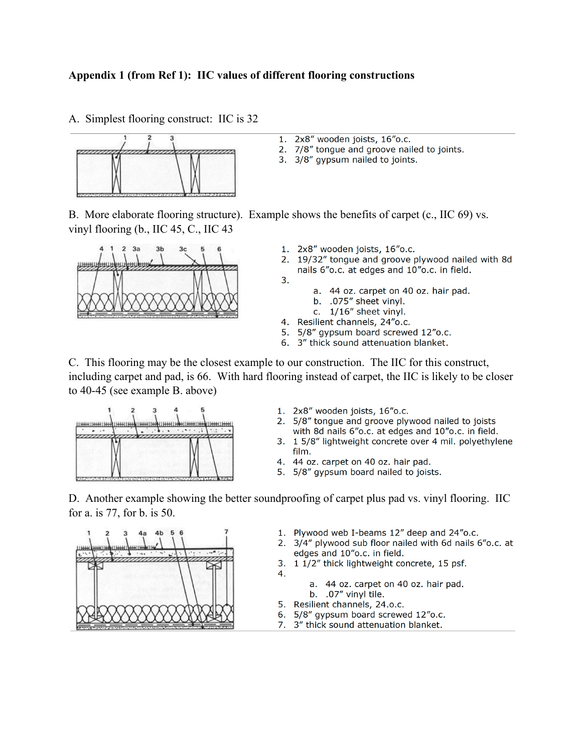#### Appendix 1 (from Ref 1): IIC values of different flooring constructions

A. Simplest flooring construct: IIC is 32



- 1. 2x8" wooden joists, 16"o.c.
- 2. 7/8" tonque and groove nailed to joints.
- 3. 3/8" gypsum nailed to joints.

B. More elaborate flooring structure). Example shows the benefits of carpet  $(c, \text{HC } 69)$  vs. vinyl flooring (b., IIC 45, C., IIC 43

3.



- 1. 2x8" wooden joists, 16"o.c.
- 2. 19/32" tonque and groove plywood nailed with 8d nails 6"o.c. at edges and 10"o.c. in field.
	- a. 44 oz. carpet on 40 oz. hair pad.
		- b. .075" sheet vinyl.
	- c. 1/16" sheet vinyl.
- 4. Resilient channels, 24"o.c.
- 5. 5/8" gypsum board screwed 12"o.c.
- 6. 3" thick sound attenuation blanket.

C. This flooring may be the closest example to our construction. The IIC for this construct, including carpet and pad, is 66. With hard flooring instead of carpet, the IIC is likely to be closer to  $40-45$  (see example B. above)



- 1. 2x8" wooden joists, 16"o.c.
- 2. 5/8" tonque and groove plywood nailed to joists with 8d nails 6"o.c. at edges and 10"o.c. in field.
- 3. 1 5/8" lightweight concrete over 4 mil. polyethylene film.
- 4. 44 oz. carpet on 40 oz. hair pad.
- 5. 5/8" gypsum board nailed to joists.

D. Another example showing the better soundproofing of carpet plus pad vs. vinyl flooring. IIC for a. is 77, for b. is 50.



- 1. Plywood web I-beams 12" deep and 24"o.c.
- 2. 3/4" plywood sub floor nailed with 6d nails 6"o.c. at edges and 10"o.c. in field.
- 3. 1 1/2" thick lightweight concrete, 15 psf.
	- a. 44 oz. carpet on 40 oz. hair pad.
	- b. .07" vinyl tile.
- 5. Resilient channels, 24.o.c.
- 6. 5/8" avpsum board screwed 12"o.c.
- 7. 3" thick sound attenuation blanket.